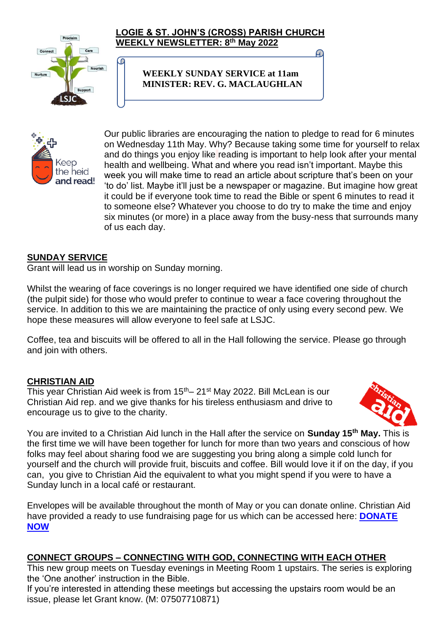

#### **LOGIE & ST. JOHN'S (CROSS) PARISH CHURCH WEEKLY NEWSLETTER: 8 th May 2022**

**WEEKLY SUNDAY SERVICE at 11am MINISTER: REV. G. MACLAUGHLAN**



Our public libraries are encouraging the nation to pledge to read for 6 minutes on Wednesday 11th May. Why? Because taking some time for yourself to relax and do things you enjoy like reading is important to help look after your mental health and wellbeing. What and where you read isn't important. Maybe this week you will make time to read an article about scripture that's been on your 'to do' list. Maybe it'll just be a newspaper or magazine. But imagine how great it could be if everyone took time to read the Bible or spent 6 minutes to read it to someone else? Whatever you choose to do try to make the time and enjoy six minutes (or more) in a place away from the busy-ness that surrounds many of us each day.

## **SUNDAY SERVICE**

Grant will lead us in worship on Sunday morning.

စ

Whilst the wearing of face coverings is no longer required we have identified one side of church (the pulpit side) for those who would prefer to continue to wear a face covering throughout the service. In addition to this we are maintaining the practice of only using every second pew. We hope these measures will allow everyone to feel safe at LSJC.

Coffee, tea and biscuits will be offered to all in the Hall following the service. Please go through and join with others.

## **CHRISTIAN AID**

This year Christian Aid week is from  $15<sup>th</sup> - 21<sup>st</sup>$  May 2022. Bill McLean is our Christian Aid rep. and we give thanks for his tireless enthusiasm and drive to encourage us to give to the charity.



You are invited to a Christian Aid lunch in the Hall after the service on **Sunday 15th May.** This is the first time we will have been together for lunch for more than two years and conscious of how folks may feel about sharing food we are suggesting you bring along a simple cold lunch for yourself and the church will provide fruit, biscuits and coffee. Bill would love it if on the day, if you can, you give to Christian Aid the equivalent to what you might spend if you were to have a Sunday lunch in a local café or restaurant.

Envelopes will be available throughout the month of May or you can donate online. Christian Aid have provided a ready to use fundraising page for us which can be accessed here: **[DONATE](https://giving.give-star.com/microsite/christian-aid/christian-aid-week/team/17fdcac9-f3b8-422a-8b86-1bcbb6d1e36a?fbclid=IwAR3cXZFhMlsqThJlKLUEVJOPBMtyYGC7gb8Zp0EBr7CkC6rYbh2-Jm3s8EU)  [NOW](https://giving.give-star.com/microsite/christian-aid/christian-aid-week/team/17fdcac9-f3b8-422a-8b86-1bcbb6d1e36a?fbclid=IwAR3cXZFhMlsqThJlKLUEVJOPBMtyYGC7gb8Zp0EBr7CkC6rYbh2-Jm3s8EU)**

## **CONNECT GROUPS – CONNECTING WITH GOD, CONNECTING WITH EACH OTHER**

This new group meets on Tuesday evenings in Meeting Room 1 upstairs. The series is exploring the 'One another' instruction in the Bible.

If you're interested in attending these meetings but accessing the upstairs room would be an issue, please let Grant know. (M: 07507710871)